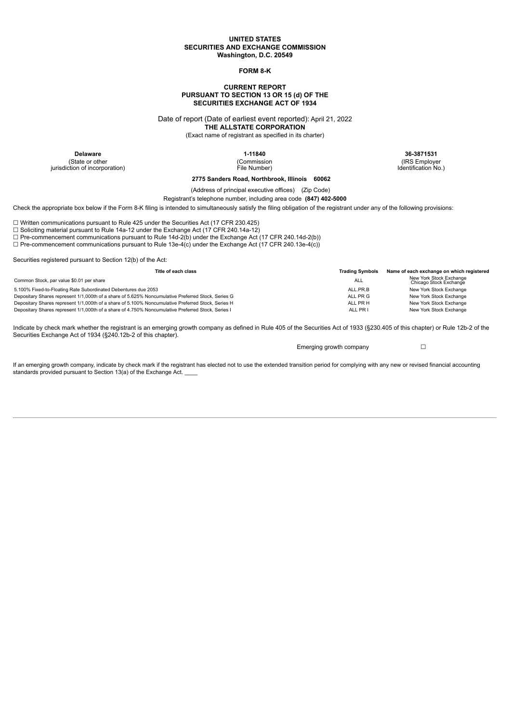## **UNITED STATES SECURITIES AND EXCHANGE COMMISSION Washington, D.C. 20549**

# **FORM 8-K**

## **CURRENT REPORT PURSUANT TO SECTION 13 OR 15 (d) OF THE SECURITIES EXCHANGE ACT OF 1934**

Date of report (Date of earliest event reported): April 21, 2022

**THE ALLSTATE CORPORATION**

(Exact name of registrant as specified in its charter)

(State or other jurisdiction of incorporation) (Commission File Number)

**Delaware 1-11840 36-3871531**

(IRS Employer Identification No.)

**2775 Sanders Road, Northbrook, Illinois 60062**

(Address of principal executive offices) (Zip Code)

Registrant's telephone number, including area code **(847) 402-5000**

Check the appropriate box below if the Form 8-K filing is intended to simultaneously satisfy the filing obligation of the registrant under any of the following provisions:

☐ Written communications pursuant to Rule 425 under the Securities Act (17 CFR 230.425)

☐ Soliciting material pursuant to Rule 14a-12 under the Exchange Act (17 CFR 240.14a-12)

 $\Box$  Pre-commencement communications pursuant to Rule 14d-2(b) under the Exchange Act (17 CFR 240.14d-2(b))

☐ Pre-commencement communications pursuant to Rule 13e-4(c) under the Exchange Act (17 CFR 240.13e-4(c))

Securities registered pursuant to Section 12(b) of the Act:

| Title of each class                                                                                |          | Name of each exchange on which registered         |  |
|----------------------------------------------------------------------------------------------------|----------|---------------------------------------------------|--|
| Common Stock, par value \$0.01 per share                                                           | ALL      | New York Stock Exchange<br>Chicago Stock Exchange |  |
| 5.100% Fixed-to-Floating Rate Subordinated Debentures due 2053                                     | ALL.PR.B | New York Stock Exchange                           |  |
| Depositary Shares represent 1/1,000th of a share of 5.625% Noncumulative Preferred Stock, Series G | ALL PR G | New York Stock Exchange                           |  |
| Depositary Shares represent 1/1,000th of a share of 5.100% Noncumulative Preferred Stock, Series H | ALL PR H | New York Stock Exchange                           |  |
| Depositary Shares represent 1/1,000th of a share of 4.750% Noncumulative Preferred Stock, Series I | ALL PR I | New York Stock Exchange                           |  |

Indicate by check mark whether the registrant is an emerging growth company as defined in Rule 405 of the Securities Act of 1933 (§230.405 of this chapter) or Rule 12b-2 of the Securities Exchange Act of 1934 (§240.12b-2 of this chapter).

Emerging growth company  $\Box$ 

If an emerging growth company, indicate by check mark if the registrant has elected not to use the extended transition period for complying with any new or revised financial accounting standards provided pursuant to Section 13(a) of the Exchange Act.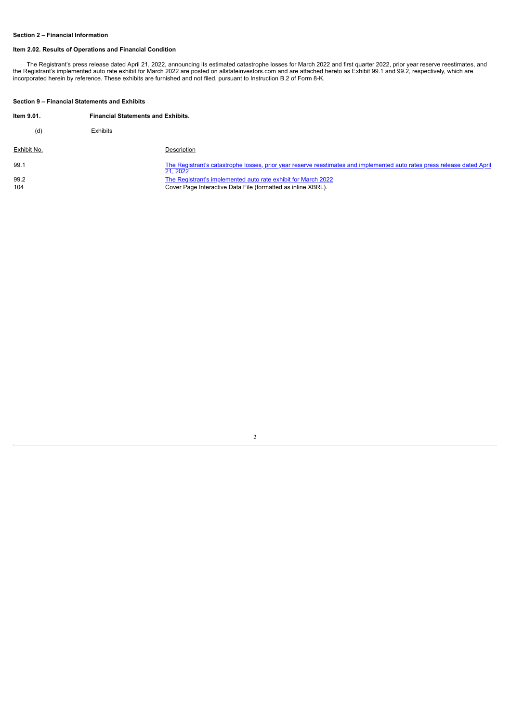# **Section 2 – Financial Information**

## **Item 2.02. Results of Operations and Financial Condition**

The Registrant's press release dated April 21, 2022, announcing its estimated catastrophe losses for March 2022 and first quarter 2022, prior year reserve reestimates, and<br>the Registrant's implemented auto rate exhibit for incorporated herein by reference. These exhibits are furnished and not filed, pursuant to Instruction B.2 of Form 8-K.

## **Section 9 – Financial Statements and Exhibits**

| Item 9.01.  | <b>Financial Statements and Exhibits.</b> |                                                                                                                                      |  |
|-------------|-------------------------------------------|--------------------------------------------------------------------------------------------------------------------------------------|--|
| (d)         | Exhibits                                  |                                                                                                                                      |  |
| Exhibit No. |                                           | Description                                                                                                                          |  |
| 99.1        |                                           | The Registrant's catastrophe losses, prior year reserve reestimates and implemented auto rates press release dated April<br>21, 2022 |  |
| 99.2<br>104 |                                           | The Registrant's implemented auto rate exhibit for March 2022<br>Cover Page Interactive Data File (formatted as inline XBRL).        |  |

2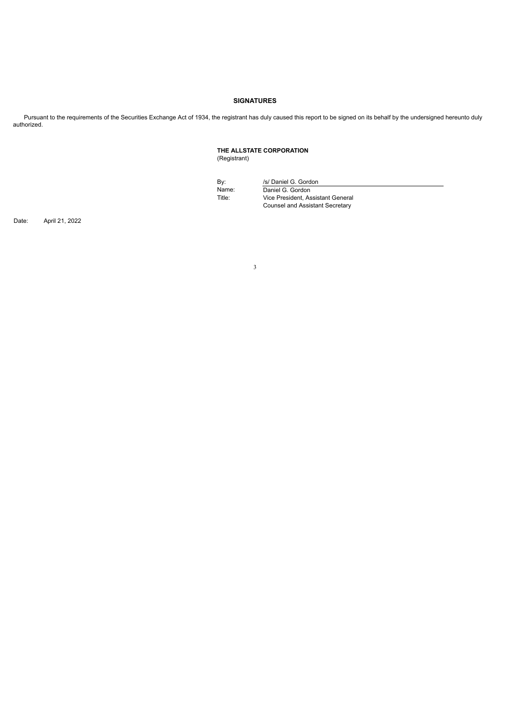# **SIGNATURES**

Pursuant to the requirements of the Securities Exchange Act of 1934, the registrant has duly caused this report to be signed on its behalf by the undersigned hereunto duly authorized.

> **THE ALLSTATE CORPORATION** (Registrant)

By: /s/ Daniel G. Gordon Name: Daniel G. Gordon<br>Title: Vice President, As Vice President, Assistant General Counsel and Assistant Secretary

Date: April 21, 2022

3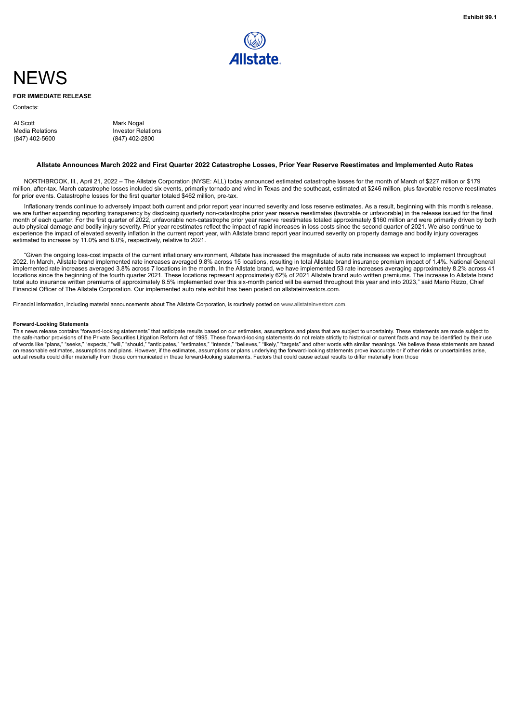

# <span id="page-3-0"></span>**NEWS**

## **FOR IMMEDIATE RELEASE**

Contacts:

| Al Scott        | Mark Nogal                |
|-----------------|---------------------------|
| Media Relations | <b>Investor Relations</b> |
| (847) 402-5600  | (847) 402-2800            |

### Allstate Announces March 2022 and First Quarter 2022 Catastrophe Losses, Prior Year Reserve Reestimates and Implemented Auto Rates

NORTHBROOK, Ill., April 21, 2022 – The Allstate Corporation (NYSE: ALL) today announced estimated catastrophe losses for the month of March of \$227 million or \$179 million, after-tax. March catastrophe losses included six events, primarily tornado and wind in Texas and the southeast, estimated at \$246 million, plus favorable reserve reestimates for prior events. Catastrophe losses for the first quarter totaled \$462 million, pre-tax.

Inflationary trends continue to adversely impact both current and prior report year incurred severity and loss reserve estimates. As a result, beginning with this month's release, we are further expanding reporting transparency by disclosing quarterly non-catastrophe prior year reserve reestimates (favorable or unfavorable) in the release issued for the final<br>month of each quarter. For the first qua auto physical damage and bodily injury severity. Prior year reestimates reflect the impact of rapid increases in loss costs since the second quarter of 2021. We also continue to experience the impact of elevated severity inflation in the current report year, with Allstate brand report year incurred severity on property damage and bodily injury coverages estimated to increase by 11.0% and 8.0%, respectively, relative to 2021.

"Given the ongoing loss-cost impacts of the current inflationary environment, Allstate has increased the magnitude of auto rate increases we expect to implement throughout 2022. In March, Allstate brand implemented rate increases averaged 9.8% across 15 locations, resulting in total Allstate brand insurance premium impact of 1.4%. National General implemented rate increases averaged 3.8% across 7 locations in the month. In the Allstate brand, we have implemented 53 rate increases averaging approximately 8.2% across 41 locations since the beginning of the fourth quarter 2021. These locations represent approximately 62% of 2021 Allstate brand auto written premiums. The increase to Allstate brand<br>total auto insurance written premiums of ap Financial Officer of The Allstate Corporation. Our implemented auto rate exhibit has been posted on allstateinvestors.com.

Financial information, including material announcements about The Allstate Corporation, is routinely posted on www.allstateinvestors.com.

### **Forward-Looking Statements**

This news release contains "forward-looking statements" that anticipate results based on our estimates, assumptions and plans that are subject to uncertainty. These statements are made subject to<br>the safe-harbor provisions on reasonable estimates, assumptions and plans. However, if the estimates, assumptions or plans underlying the forward-looking statements prove inaccurate or if other risks or uncertainties arise,<br>actual results could diff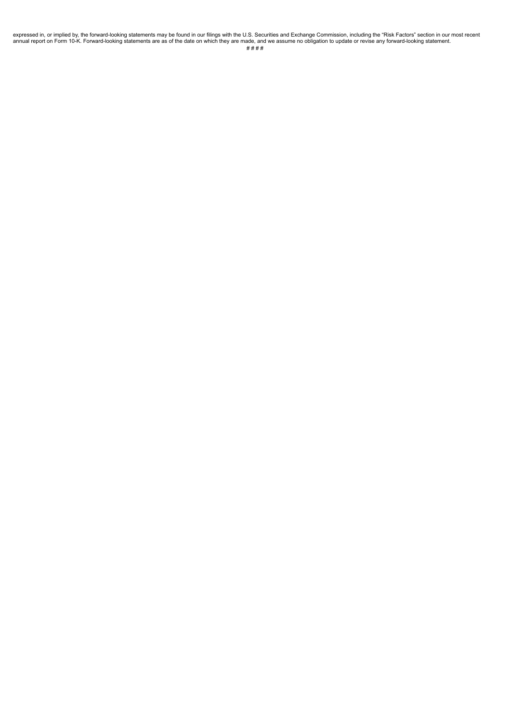expressed in, or implied by, the forward-looking statements may be found in our filings with the U.S. Securities and Exchange Commission, including the "Risk Factors" section in our most recent<br>hte ware made, and we assume